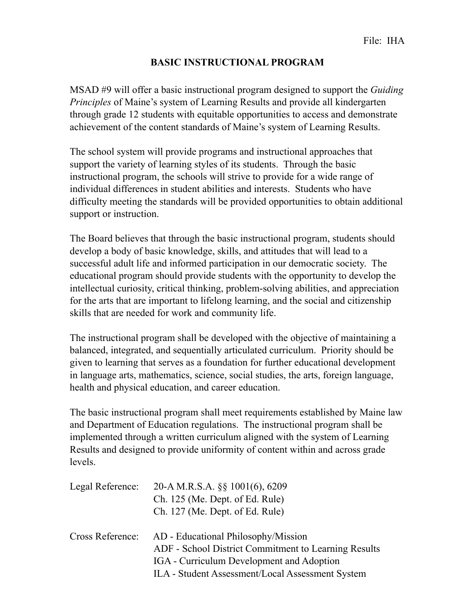## **BASIC INSTRUCTIONAL PROGRAM**

MSAD #9 will offer a basic instructional program designed to support the *Guiding Principles* of Maine's system of Learning Results and provide all kindergarten through grade 12 students with equitable opportunities to access and demonstrate achievement of the content standards of Maine's system of Learning Results.

The school system will provide programs and instructional approaches that support the variety of learning styles of its students. Through the basic instructional program, the schools will strive to provide for a wide range of individual differences in student abilities and interests. Students who have difficulty meeting the standards will be provided opportunities to obtain additional support or instruction.

The Board believes that through the basic instructional program, students should develop a body of basic knowledge, skills, and attitudes that will lead to a successful adult life and informed participation in our democratic society. The educational program should provide students with the opportunity to develop the intellectual curiosity, critical thinking, problem-solving abilities, and appreciation for the arts that are important to lifelong learning, and the social and citizenship skills that are needed for work and community life.

The instructional program shall be developed with the objective of maintaining a balanced, integrated, and sequentially articulated curriculum. Priority should be given to learning that serves as a foundation for further educational development in language arts, mathematics, science, social studies, the arts, foreign language, health and physical education, and career education.

The basic instructional program shall meet requirements established by Maine law and Department of Education regulations. The instructional program shall be implemented through a written curriculum aligned with the system of Learning Results and designed to provide uniformity of content within and across grade levels.

| Legal Reference: | 20-A M.R.S.A. §§ 1001(6), 6209<br>Ch. 125 (Me. Dept. of Ed. Rule)<br>Ch. 127 (Me. Dept. of Ed. Rule)                                                                                         |
|------------------|----------------------------------------------------------------------------------------------------------------------------------------------------------------------------------------------|
| Cross Reference: | AD - Educational Philosophy/Mission<br>ADF - School District Commitment to Learning Results<br>IGA - Curriculum Development and Adoption<br>ILA - Student Assessment/Local Assessment System |